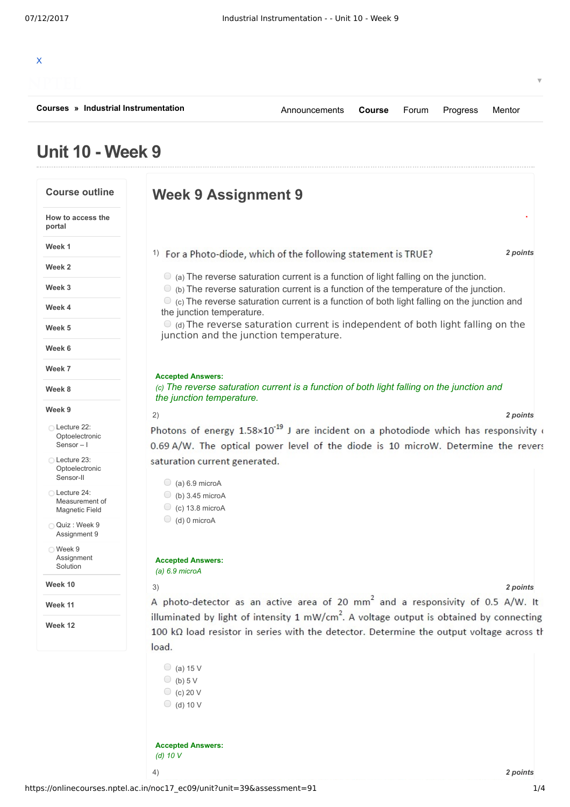| Courses » Industrial Instrumentation | Announcements <b>Course</b> Forum Progress |  | Mentor |  |
|--------------------------------------|--------------------------------------------|--|--------|--|
|                                      |                                            |  |        |  |
|                                      |                                            |  |        |  |

## **Unit 10 - Week 9**

| <b>Course outline</b>                          | <b>Week 9 Assignment 9</b>                                                                                                                                                                 |
|------------------------------------------------|--------------------------------------------------------------------------------------------------------------------------------------------------------------------------------------------|
| How to access the<br>portal                    |                                                                                                                                                                                            |
| Week 1                                         | 2 points<br><sup>1)</sup> For a Photo-diode, which of the following statement is TRUE?                                                                                                     |
| Week <sub>2</sub>                              |                                                                                                                                                                                            |
| Week 3                                         | $\circ$ (a) The reverse saturation current is a function of light falling on the junction.<br>$\circ$ (b) The reverse saturation current is a function of the temperature of the junction. |
| Week 4                                         | $\bullet$ (c) The reverse saturation current is a function of both light falling on the junction and<br>the junction temperature.                                                          |
| Week 5                                         | $\bullet$ (d) The reverse saturation current is independent of both light falling on the<br>junction and the junction temperature.                                                         |
| Week 6                                         |                                                                                                                                                                                            |
| Week 7                                         |                                                                                                                                                                                            |
| Week 8                                         | <b>Accepted Answers:</b><br>(c) The reverse saturation current is a function of both light falling on the junction and<br>the junction temperature.                                        |
| Week 9                                         | 2)<br>2 points                                                                                                                                                                             |
| ◯ Lecture 22:<br>Optoelectronic<br>Sensor $-1$ | Photons of energy $1.58 \times 10^{-19}$ J are incident on a photodiode which has responsivity of<br>0.69 A/W. The optical power level of the diode is 10 microW. Determine the revers     |
| ◯ Lecture 23:<br>Optoelectronic<br>Sensor-II   | saturation current generated.                                                                                                                                                              |
| Lecture 24:                                    | $\bigcirc$ (a) 6.9 microA                                                                                                                                                                  |
| Measurement of<br><b>Magnetic Field</b>        | $\bigcirc$ (b) 3.45 microA<br>$\circ$ (c) 13.8 microA                                                                                                                                      |
| Quiz: Week 9<br>Assignment 9                   | $\bigcirc$ (d) 0 microA                                                                                                                                                                    |
| ◯ Week 9<br>Assignment<br>Solution             | <b>Accepted Answers:</b><br>$(a)$ 6.9 microA                                                                                                                                               |
| Week 10                                        | 3)<br>2 points                                                                                                                                                                             |
| Week 11                                        | A photo-detector as an active area of 20 mm <sup>2</sup> and a responsivity of 0.5 A/W. It                                                                                                 |
|                                                | illuminated by light of intensity 1 mW/cm <sup>2</sup> . A voltage output is obtained by connecting                                                                                        |
| Week 12                                        | 100 k $\Omega$ load resistor in series with the detector. Determine the output voltage across th<br>load.                                                                                  |
|                                                |                                                                                                                                                                                            |
|                                                | $\bigcirc$ (a) 15 V<br>(b) $5V$                                                                                                                                                            |
|                                                | $\circ$ (c) 20 V                                                                                                                                                                           |
|                                                | $\bigcirc$ (d) 10 V                                                                                                                                                                        |
|                                                | <b>Accepted Answers:</b>                                                                                                                                                                   |
|                                                | (d) $10V$                                                                                                                                                                                  |
|                                                | 4)<br>2 points                                                                                                                                                                             |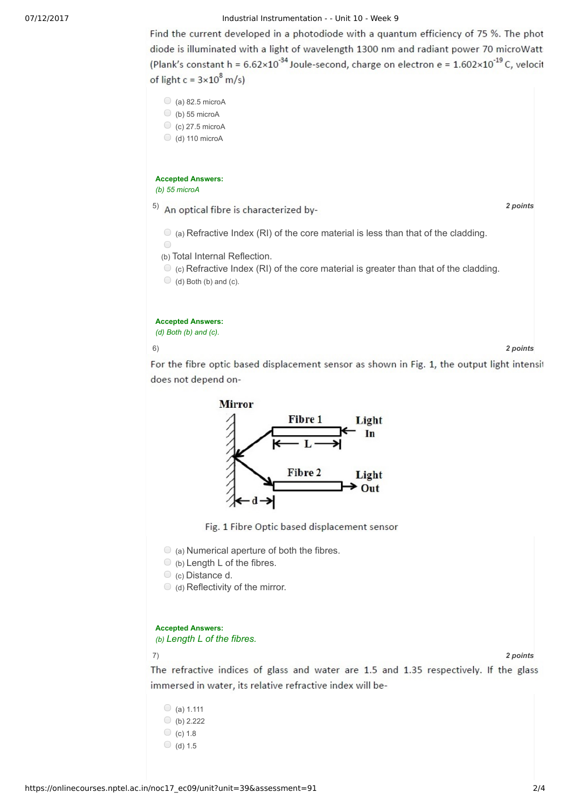## 07/12/2017 Industrial Instrumentation - - Unit 10 - Week 9

Find the current developed in a photodiode with a quantum efficiency of 75 %. The phot diode is illuminated with a light of wavelength 1300 nm and radiant power 70 microWatt (Plank's constant h =  $6.62 \times 10^{-34}$  Joule-second, charge on electron e =  $1.602 \times 10^{-19}$  C, velocit of light  $c = 3 \times 10^8$  m/s)



6) *2 points*

For the fibre optic based displacement sensor as shown in Fig. 1, the output light intensit does not depend on-



Fig. 1 Fibre Optic based displacement sensor

 $\circ$  (a) Numerical aperture of both the fibres.

 $\circ$  (b) Length L of the fibres.

(c) Distance d.

 $\bigcirc$  (d) Reflectivity of the mirror.

## **Accepted Answers:**

*(b) Length L of the fibres.*

7) *2 points*

The refractive indices of glass and water are 1.5 and 1.35 respectively. If the glass immersed in water, its relative refractive index will be-

 $\bigcirc$  (a) 1.111  $\bigcirc$  (b) 2.222  $\circ$  (c) 1.8  $\bigcirc$  (d) 1.5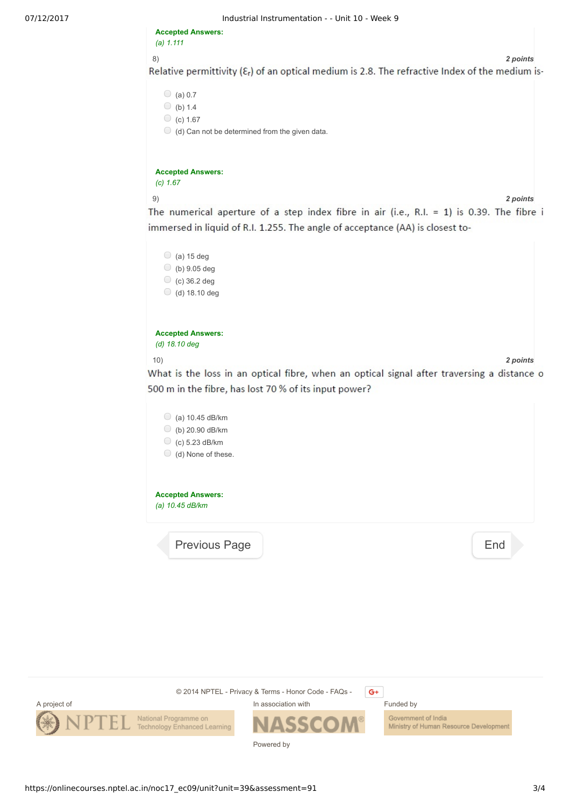07/12/2017 Industrial Instrumentation - - Unit 10 - Week 9

**Accepted Answers:** *(a) 1.111*

8) *2 points*

Relative permittivity  $(\mathcal{E}_r)$  of an optical medium is 2.8. The refractive Index of the medium is-

```
\bigcirc (a) 0.7
\circ (b) 1.4
\circ (c) 1.67
```
 $\bigcirc$  (d) Can not be determined from the given data.

**Accepted Answers:** *(c) 1.67*

9) *2 points*

The numerical aperture of a step index fibre in air (i.e., R.I. = 1) is 0.39. The fibre i immersed in liquid of R.I. 1.255. The angle of acceptance (AA) is closest to-

|                          | (a) 15 deg     |  |  |  |  |
|--------------------------|----------------|--|--|--|--|
|                          | (b) 9.05 deg   |  |  |  |  |
|                          | $(c)$ 36.2 deg |  |  |  |  |
|                          | (d) 18.10 deg  |  |  |  |  |
|                          |                |  |  |  |  |
|                          |                |  |  |  |  |
| <b>Accepted Answers:</b> |                |  |  |  |  |

*(d) 18.10 deg*

10) *2 points*

What is the loss in an optical fibre, when an optical signal after traversing a distance o 500 m in the fibre, has lost 70 % of its input power?

| (a) 10.45 dB/km<br>O<br>O<br>(b) 20.90 dB/km<br>O<br>(c) 5.23 dB/km<br>(d) None of these. |     |
|-------------------------------------------------------------------------------------------|-----|
| <b>Accepted Answers:</b><br>(a) 10.45 dB/km                                               |     |
| <b>Previous Page</b>                                                                      | End |